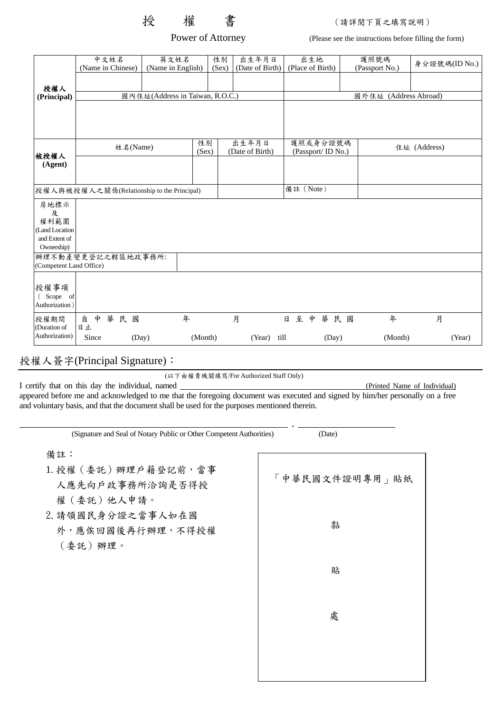授 權 書 (請詳閱下頁之填寫說明)

Power of Attorney (Please see the instructions before filling the form)

|                                     | 中文姓名<br>(Name in Chinese)                  |       | 英文姓名<br>(Name in English)       |             | 性別<br>(Sex) | 出生年月日<br>(Date of Birth) |                                | 出生地<br>(Place of Birth) |       | 護照號碼<br>(Passport No.) | 身分證號碼(ID No.) |        |  |
|-------------------------------------|--------------------------------------------|-------|---------------------------------|-------------|-------------|--------------------------|--------------------------------|-------------------------|-------|------------------------|---------------|--------|--|
| 授權人                                 |                                            |       |                                 |             |             |                          |                                |                         |       |                        |               |        |  |
| (Principal)                         |                                            |       | 國內住址(Address in Taiwan, R.O.C.) |             |             |                          |                                |                         |       | 國外住址 (Address Abroad)  |               |        |  |
|                                     |                                            |       |                                 |             |             |                          |                                |                         |       |                        |               |        |  |
| 被授權人<br>(Agent)                     | 姓名(Name)                                   |       |                                 | 性別<br>(Sex) |             | 出生年月日<br>(Date of Birth) | 護照或身分證號碼<br>(Passport/ ID No.) |                         |       | 住址 (Address)           |               |        |  |
|                                     |                                            |       |                                 |             |             |                          |                                |                         |       |                        |               |        |  |
|                                     | 授權人與被授權人之關係(Relationship to the Principal) |       |                                 |             |             |                          |                                | 備註 (Note)               |       |                        |               |        |  |
| 房地標示<br>及<br>權利範圍                   |                                            |       |                                 |             |             |                          |                                |                         |       |                        |               |        |  |
| (Land Location                      |                                            |       |                                 |             |             |                          |                                |                         |       |                        |               |        |  |
| and Extent of                       |                                            |       |                                 |             |             |                          |                                |                         |       |                        |               |        |  |
| Ownership)                          |                                            |       |                                 |             |             |                          |                                |                         |       |                        |               |        |  |
| (Competent Land Office)             | 辦理不動產變更登記之轄區地政事務所:                         |       |                                 |             |             |                          |                                |                         |       |                        |               |        |  |
| 授權事項<br>(Scope of<br>Authorization) |                                            |       |                                 |             |             |                          |                                |                         |       |                        |               |        |  |
| 授權期間<br>(Duration of                | 自<br>中<br>華<br>日止                          | 民國    |                                 | 年           |             | 月                        | 日                              | 中<br>至                  | 華民國   | 年                      | 月             |        |  |
| Authorization)                      | Since                                      | (Day) |                                 | (Month)     |             | (Year)                   | till                           |                         | (Day) | (Month)                |               | (Year) |  |

授權人簽字(Principal Signature):

(以下由權責機關填寫/For Authorized Staff Only)

I certify that on this day the individual, named (Printed Name of Individual)

appeared before me and acknowledged to me that the foregoing document was executed and signed by him/her personally on a free and voluntary basis, and that the document shall be used for the purposes mentioned therein.

| (Signature and Seal of Notary Public or Other Competent Authorities) | (Date)         |
|----------------------------------------------------------------------|----------------|
| 備註:<br>1. 授權 (委託) 辦理戶籍登記前, 當事<br>人應先向戶政事務所洽詢是否得授<br>權(委託)他人申請。       | 「中華民國文件證明專用」貼紙 |
| 2. 請領國民身分證之當事人如在國<br>外,應俟回國後再行辦理,不得授權<br>(委託)辦理。                     | 黏              |
|                                                                      | 貼              |
|                                                                      | 處              |
|                                                                      |                |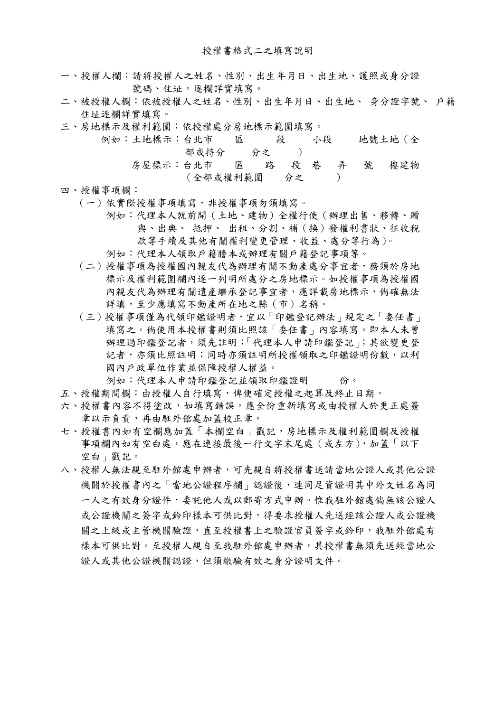- 一、授權人欄:請將授權人之姓名、性別、出生年月日、出生地、護照或身分證 號碼、住址,逐欄詳實填寫。
- 二、被授權人欄:依被授權人之姓名、性別、出生年月日、出生地、 身分證字號、 戶籍 住址逐欄詳實填寫。
- 三、房地標示及權利範圍:依授權處分房地標示範圍填寫。

|  | 例如:土地標示:台北市 區                | 一段 | 小段 |   | 地號土地 (全 |
|--|------------------------------|----|----|---|---------|
|  | 部或持分                         | 分之 |    |   |         |
|  | 房屋標示:台北市   區   路   段   巷   弄 |    |    | 號 | 樓建物     |
|  | (全部或權利範圍 分之                  |    |    |   |         |

- 四、授權事項欄:
	- (一)依實際授權事項填寫,非授權事項勿須填寫。
		- 例如:代理本人就前開(土地、建物)全權行使(辦理出售、移轉、贈 與、出典、 抵押、 出租、分割、補(換)發權利書狀、征收稅 款等手續及其他有關權利變更管理、收益、處分等行為)。
		- 例如:代理本人領取戶籍謄本或辦理有關戶籍登記事項等。
	- (二)授權事項為授權國內親友代為辦理有關不動產處分事宜者,務須於房地 標示及權利範圍欄內逐一列明所處分之房地標示。如授權事項為授權國 內親友代為辦理有關遺產繼承登記事宜者,應詳載房地標示,倘確無法 詳填,至少應填寫不動產所在地之縣(市)名稱。
	- (三)授權事項僅為代領印鑑證明者,宜以「印鑑登記辦法」規定之「委任書」 填寫之。倘使用本授權書則須比照該「委任書」內容填寫。即本人未曾 辦理過印鑑登記者,須先註明:「代理本人申請印鑑登記」;其欲變更登 記者,亦須比照註明;同時亦須註明所授權領取之印鑑證明份數,以利 國內戶政單位作業並保障授權人權益。

例如:代理本人申請印鑑登記並領取印鑑證明 份。

- 五、授權期間欄:由授權人自行填寫,俾便確定授權之起算及終止日期。
- 六、授權書內容不得塗改,如填寫錯誤,應全份重新填寫或由授權人於更正處簽 章以示負責,再由駐外館處加蓋校正章。
- 七、授權書內如有空欄應加蓋「本欄空白」戳記,房地標示及權利範圍欄及授權 事項欄內如有空白處,應在連接最後一行文字末尾處(或左方),加蓋「以下 空白」戳記。
- 八、授權人無法親至駐外館處申辦者,可先親自將授權書送請當地公證人或其他公證 機關於授權書內之「當地公證程序欄」認證後,連同足資證明其中外文姓名為同 一人之有效身分證件,委託他人或以郵寄方式申辦。惟我駐外館處倘無該公證人 或公證機關之簽字或鈴印樣本可供比對,得要求授權人先送經該公證人或公證機 關之上級或主管機關驗證,直至授權書上之驗證官員簽字或鈐印,我駐外館處有 樣本可供比對。至授權人親自至我駐外館處申辦者,其授權書無須先送經當地公 證人或其他公證機關認證,但須繳驗有效之身分證明文件。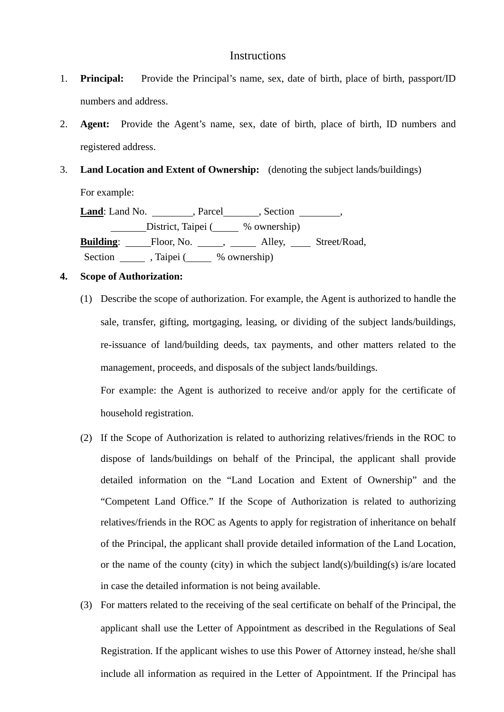## **Instructions**

- 1. **Principal:** Provide the Principal's name, sex, date of birth, place of birth, passport/ID numbers and address.
- 2. **Agent:** Provide the Agent's name, sex, date of birth, place of birth, ID numbers and registered address.
- 3. **Land Location and Extent of Ownership:** (denoting the subject lands/buildings) For example:

Land: Land No. \_\_\_\_\_\_\_\_, Parcel\_\_\_\_\_\_, Section \_\_\_\_\_\_\_, District, Taipei (  $%$  ownership) Building: Floor, No. 16, 2008, Alley, 2008, Street/Road, Section , Taipei ( % ownership)

## **4. Scope of Authorization:**

(1) Describe the scope of authorization. For example, the Agent is authorized to handle the sale, transfer, gifting, mortgaging, leasing, or dividing of the subject lands/buildings, re-issuance of land/building deeds, tax payments, and other matters related to the management, proceeds, and disposals of the subject lands/buildings.

For example: the Agent is authorized to receive and/or apply for the certificate of household registration.

- (2) If the Scope of Authorization is related to authorizing relatives/friends in the ROC to dispose of lands/buildings on behalf of the Principal, the applicant shall provide detailed information on the "Land Location and Extent of Ownership" and the "Competent Land Office." If the Scope of Authorization is related to authorizing relatives/friends in the ROC as Agents to apply for registration of inheritance on behalf of the Principal, the applicant shall provide detailed information of the Land Location, or the name of the county (city) in which the subject land(s)/building(s) is/are located in case the detailed information is not being available.
- (3) For matters related to the receiving of the seal certificate on behalf of the Principal, the applicant shall use the Letter of Appointment as described in the Regulations of Seal Registration. If the applicant wishes to use this Power of Attorney instead, he/she shall include all information as required in the Letter of Appointment. If the Principal has